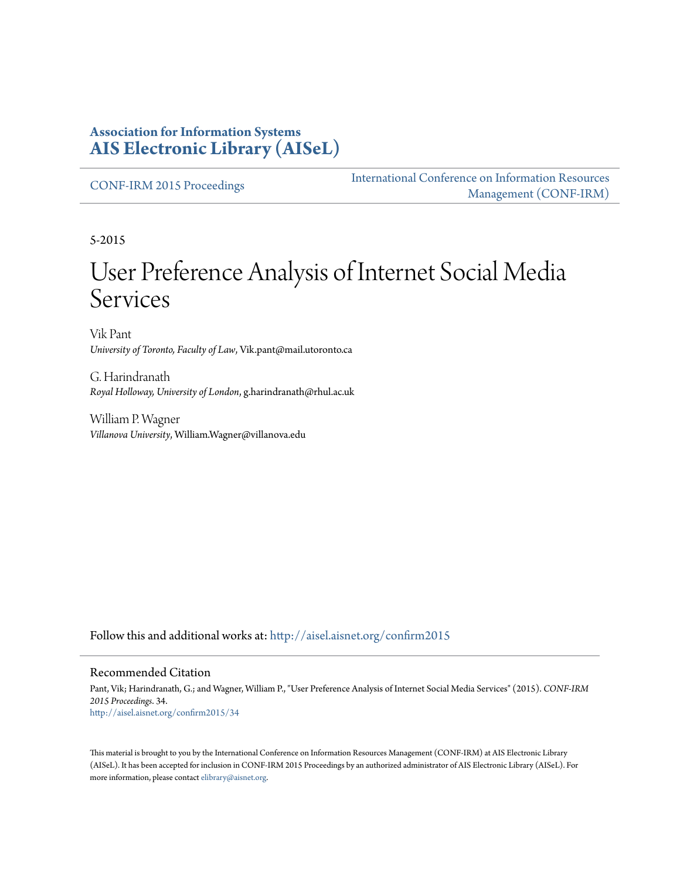#### **Association for Information Systems [AIS Electronic Library \(AISeL\)](http://aisel.aisnet.org?utm_source=aisel.aisnet.org%2Fconfirm2015%2F34&utm_medium=PDF&utm_campaign=PDFCoverPages)**

[CONF-IRM 2015 Proceedings](http://aisel.aisnet.org/confirm2015?utm_source=aisel.aisnet.org%2Fconfirm2015%2F34&utm_medium=PDF&utm_campaign=PDFCoverPages)

[International Conference on Information Resources](http://aisel.aisnet.org/conf-irm?utm_source=aisel.aisnet.org%2Fconfirm2015%2F34&utm_medium=PDF&utm_campaign=PDFCoverPages) [Management \(CONF-IRM\)](http://aisel.aisnet.org/conf-irm?utm_source=aisel.aisnet.org%2Fconfirm2015%2F34&utm_medium=PDF&utm_campaign=PDFCoverPages)

5-2015

# User Preference Analysis of Internet Social Media Services

Vik Pant *University of Toronto, Faculty of Law*, Vik.pant@mail.utoronto.ca

G. Harindranath *Royal Holloway, University of London*, g.harindranath@rhul.ac.uk

William P. Wagner *Villanova University*, William.Wagner@villanova.edu

Follow this and additional works at: [http://aisel.aisnet.org/confirm2015](http://aisel.aisnet.org/confirm2015?utm_source=aisel.aisnet.org%2Fconfirm2015%2F34&utm_medium=PDF&utm_campaign=PDFCoverPages)

#### Recommended Citation

Pant, Vik; Harindranath, G.; and Wagner, William P., "User Preference Analysis of Internet Social Media Services" (2015). *CONF-IRM 2015 Proceedings*. 34. [http://aisel.aisnet.org/confirm2015/34](http://aisel.aisnet.org/confirm2015/34?utm_source=aisel.aisnet.org%2Fconfirm2015%2F34&utm_medium=PDF&utm_campaign=PDFCoverPages)

This material is brought to you by the International Conference on Information Resources Management (CONF-IRM) at AIS Electronic Library (AISeL). It has been accepted for inclusion in CONF-IRM 2015 Proceedings by an authorized administrator of AIS Electronic Library (AISeL). For more information, please contact [elibrary@aisnet.org.](mailto:elibrary@aisnet.org%3E)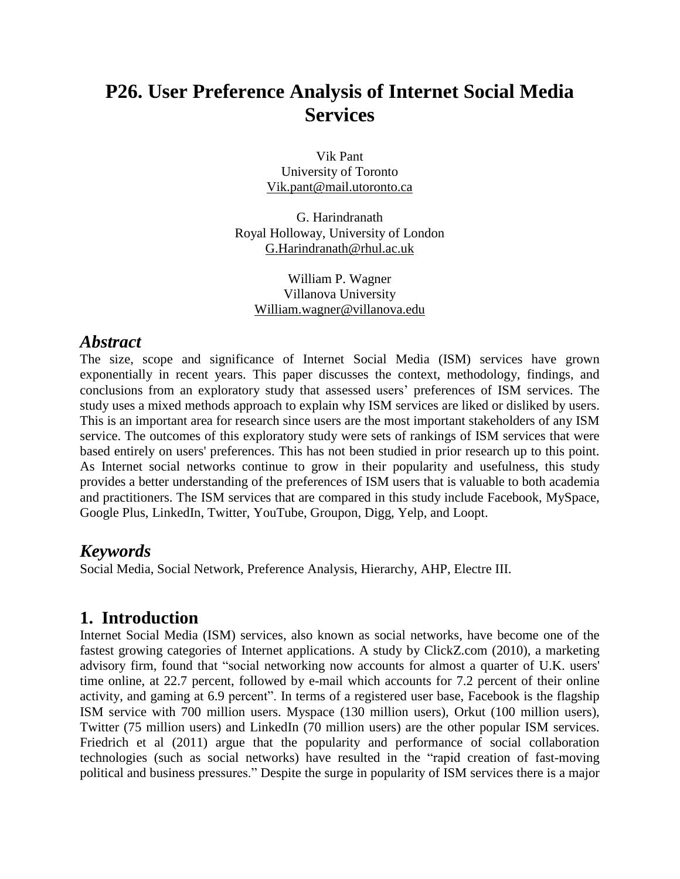# **P26. User Preference Analysis of Internet Social Media Services**

Vik Pant University of Toronto [Vik.pant@mail.utoronto.ca](mailto:Vik.pant@mail.utoronto.ca)

G. Harindranath Royal Holloway, University of London [G.Harindranath@rhul.ac.uk](mailto:G.Harindranath@rhul.ac.uk)

William P. Wagner Villanova University [William.wagner@villanova.edu](mailto:William.wagner@villanova.edu)

#### *Abstract*

The size, scope and significance of Internet Social Media (ISM) services have grown exponentially in recent years. This paper discusses the context, methodology, findings, and conclusions from an exploratory study that assessed users' preferences of ISM services. The study uses a mixed methods approach to explain why ISM services are liked or disliked by users. This is an important area for research since users are the most important stakeholders of any ISM service. The outcomes of this exploratory study were sets of rankings of ISM services that were based entirely on users' preferences. This has not been studied in prior research up to this point. As Internet social networks continue to grow in their popularity and usefulness, this study provides a better understanding of the preferences of ISM users that is valuable to both academia and practitioners. The ISM services that are compared in this study include Facebook, MySpace, Google Plus, LinkedIn, Twitter, YouTube, Groupon, Digg, Yelp, and Loopt.

#### *Keywords*

Social Media, Social Network, Preference Analysis, Hierarchy, AHP, Electre III.

#### **1. Introduction**

Internet Social Media (ISM) services, also known as social networks, have become one of the fastest growing categories of Internet applications. A study by ClickZ.com (2010), a marketing advisory firm, found that "social networking now accounts for almost a quarter of U.K. users' time online, at 22.7 percent, followed by e-mail which accounts for 7.2 percent of their online activity, and gaming at 6.9 percent". In terms of a registered user base, Facebook is the flagship ISM service with 700 million users. Myspace (130 million users), Orkut (100 million users), Twitter (75 million users) and LinkedIn (70 million users) are the other popular ISM services. Friedrich et al (2011) argue that the popularity and performance of social collaboration technologies (such as social networks) have resulted in the "rapid creation of fast-moving political and business pressures." Despite the surge in popularity of ISM services there is a major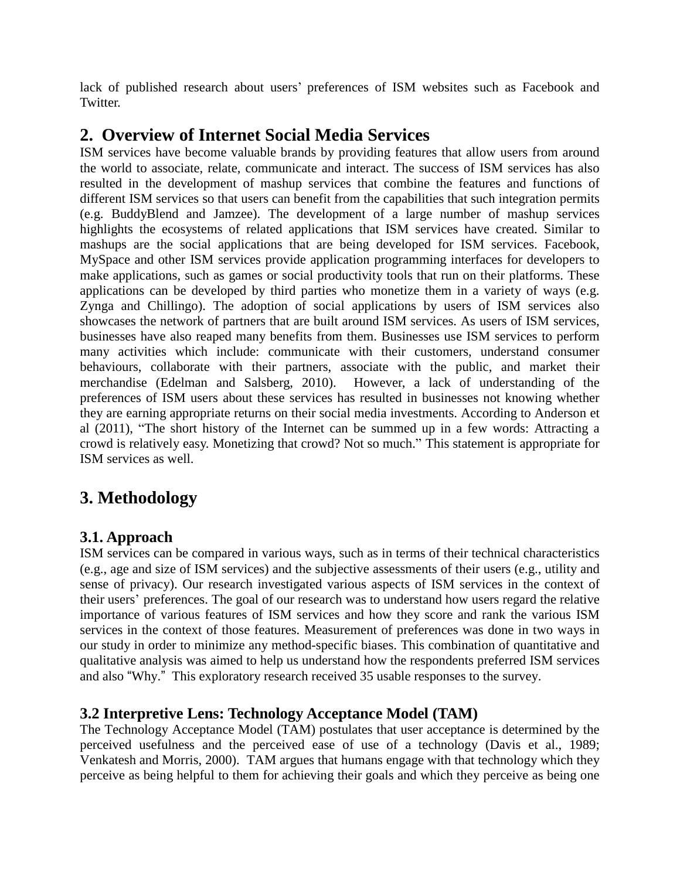lack of published research about users' preferences of ISM websites such as Facebook and Twitter.

## **2. Overview of Internet Social Media Services**

ISM services have become valuable brands by providing features that allow users from around the world to associate, relate, communicate and interact. The success of ISM services has also resulted in the development of mashup services that combine the features and functions of different ISM services so that users can benefit from the capabilities that such integration permits (e.g. BuddyBlend and Jamzee). The development of a large number of mashup services highlights the ecosystems of related applications that ISM services have created. Similar to mashups are the social applications that are being developed for ISM services. Facebook, MySpace and other ISM services provide application programming interfaces for developers to make applications, such as games or social productivity tools that run on their platforms. These applications can be developed by third parties who monetize them in a variety of ways (e.g. Zynga and Chillingo). The adoption of social applications by users of ISM services also showcases the network of partners that are built around ISM services. As users of ISM services, businesses have also reaped many benefits from them. Businesses use ISM services to perform many activities which include: communicate with their customers, understand consumer behaviours, collaborate with their partners, associate with the public, and market their merchandise (Edelman and Salsberg, 2010). However, a lack of understanding of the preferences of ISM users about these services has resulted in businesses not knowing whether they are earning appropriate returns on their social media investments. According to Anderson et al (2011), "The short history of the Internet can be summed up in a few words: Attracting a crowd is relatively easy. Monetizing that crowd? Not so much." This statement is appropriate for ISM services as well.

# **3. Methodology**

#### **3.1. Approach**

ISM services can be compared in various ways, such as in terms of their technical characteristics (e.g., age and size of ISM services) and the subjective assessments of their users (e.g., utility and sense of privacy). Our research investigated various aspects of ISM services in the context of their users' preferences. The goal of our research was to understand how users regard the relative importance of various features of ISM services and how they score and rank the various ISM services in the context of those features. Measurement of preferences was done in two ways in our study in order to minimize any method-specific biases. This combination of quantitative and qualitative analysis was aimed to help us understand how the respondents preferred ISM services and also "Why." This exploratory research received 35 usable responses to the survey.

#### **3.2 Interpretive Lens: Technology Acceptance Model (TAM)**

The Technology Acceptance Model (TAM) postulates that user acceptance is determined by the perceived usefulness and the perceived ease of use of a technology (Davis et al., 1989; Venkatesh and Morris, 2000). TAM argues that humans engage with that technology which they perceive as being helpful to them for achieving their goals and which they perceive as being one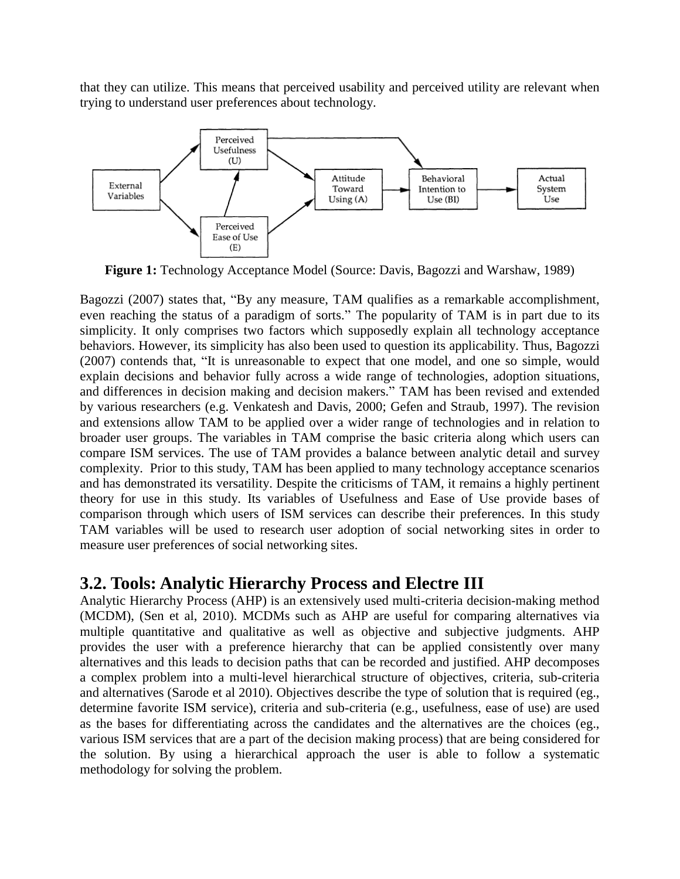that they can utilize. This means that perceived usability and perceived utility are relevant when trying to understand user preferences about technology.



**Figure 1:** Technology Acceptance Model (Source: Davis, Bagozzi and Warshaw, 1989)

Bagozzi (2007) states that, "By any measure, TAM qualifies as a remarkable accomplishment, even reaching the status of a paradigm of sorts." The popularity of TAM is in part due to its simplicity. It only comprises two factors which supposedly explain all technology acceptance behaviors. However, its simplicity has also been used to question its applicability. Thus, Bagozzi (2007) contends that, "It is unreasonable to expect that one model, and one so simple, would explain decisions and behavior fully across a wide range of technologies, adoption situations, and differences in decision making and decision makers." TAM has been revised and extended by various researchers (e.g. Venkatesh and Davis, 2000; Gefen and Straub, 1997). The revision and extensions allow TAM to be applied over a wider range of technologies and in relation to broader user groups. The variables in TAM comprise the basic criteria along which users can compare ISM services. The use of TAM provides a balance between analytic detail and survey complexity. Prior to this study, TAM has been applied to many technology acceptance scenarios and has demonstrated its versatility. Despite the criticisms of TAM, it remains a highly pertinent theory for use in this study. Its variables of Usefulness and Ease of Use provide bases of comparison through which users of ISM services can describe their preferences. In this study TAM variables will be used to research user adoption of social networking sites in order to measure user preferences of social networking sites.

#### **3.2. Tools: Analytic Hierarchy Process and Electre III**

Analytic Hierarchy Process (AHP) is an extensively used multi-criteria decision-making method (MCDM), (Sen et al, 2010). MCDMs such as AHP are useful for comparing alternatives via multiple quantitative and qualitative as well as objective and subjective judgments. AHP provides the user with a preference hierarchy that can be applied consistently over many alternatives and this leads to decision paths that can be recorded and justified. AHP decomposes a complex problem into a multi-level hierarchical structure of objectives, criteria, sub-criteria and alternatives (Sarode et al 2010). Objectives describe the type of solution that is required (eg., determine favorite ISM service), criteria and sub-criteria (e.g., usefulness, ease of use) are used as the bases for differentiating across the candidates and the alternatives are the choices (eg., various ISM services that are a part of the decision making process) that are being considered for the solution. By using a hierarchical approach the user is able to follow a systematic methodology for solving the problem.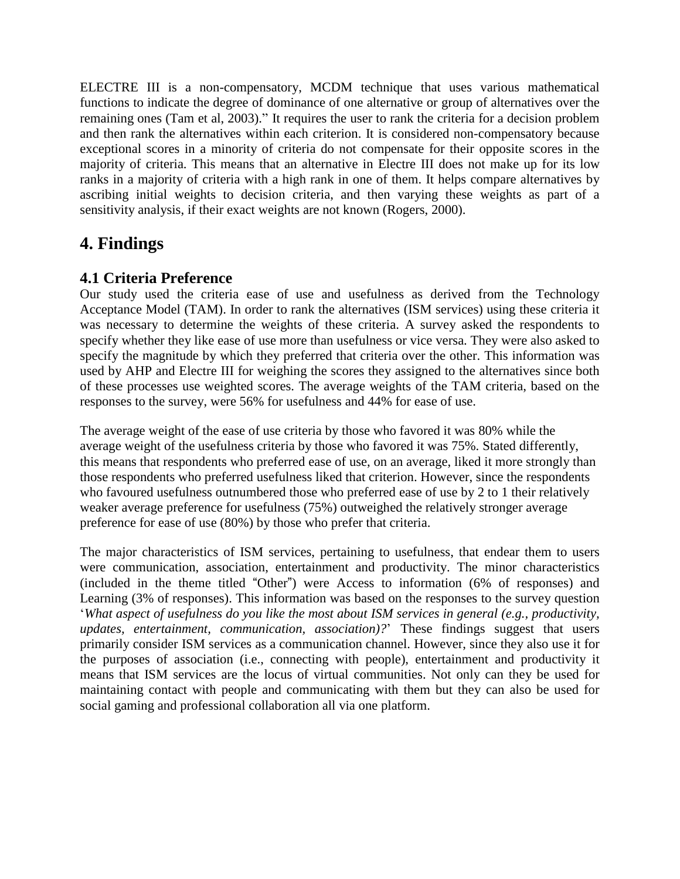ELECTRE III is a non-compensatory, MCDM technique that uses various mathematical functions to indicate the degree of dominance of one alternative or group of alternatives over the remaining ones (Tam et al, 2003)." It requires the user to rank the criteria for a decision problem and then rank the alternatives within each criterion. It is considered non-compensatory because exceptional scores in a minority of criteria do not compensate for their opposite scores in the majority of criteria. This means that an alternative in Electre III does not make up for its low ranks in a majority of criteria with a high rank in one of them. It helps compare alternatives by ascribing initial weights to decision criteria, and then varying these weights as part of a sensitivity analysis, if their exact weights are not known (Rogers, 2000).

### **4. Findings**

#### **4.1 Criteria Preference**

Our study used the criteria ease of use and usefulness as derived from the Technology Acceptance Model (TAM). In order to rank the alternatives (ISM services) using these criteria it was necessary to determine the weights of these criteria. A survey asked the respondents to specify whether they like ease of use more than usefulness or vice versa. They were also asked to specify the magnitude by which they preferred that criteria over the other. This information was used by AHP and Electre III for weighing the scores they assigned to the alternatives since both of these processes use weighted scores. The average weights of the TAM criteria, based on the responses to the survey, were 56% for usefulness and 44% for ease of use.

The average weight of the ease of use criteria by those who favored it was 80% while the average weight of the usefulness criteria by those who favored it was 75%. Stated differently, this means that respondents who preferred ease of use, on an average, liked it more strongly than those respondents who preferred usefulness liked that criterion. However, since the respondents who favoured usefulness outnumbered those who preferred ease of use by 2 to 1 their relatively weaker average preference for usefulness (75%) outweighed the relatively stronger average preference for ease of use (80%) by those who prefer that criteria.

The major characteristics of ISM services, pertaining to usefulness, that endear them to users were communication, association, entertainment and productivity. The minor characteristics (included in the theme titled "Other") were Access to information (6% of responses) and Learning (3% of responses). This information was based on the responses to the survey question '*What aspect of usefulness do you like the most about ISM services in general (e.g., productivity, updates, entertainment, communication, association)?*' These findings suggest that users primarily consider ISM services as a communication channel. However, since they also use it for the purposes of association (i.e., connecting with people), entertainment and productivity it means that ISM services are the locus of virtual communities. Not only can they be used for maintaining contact with people and communicating with them but they can also be used for social gaming and professional collaboration all via one platform.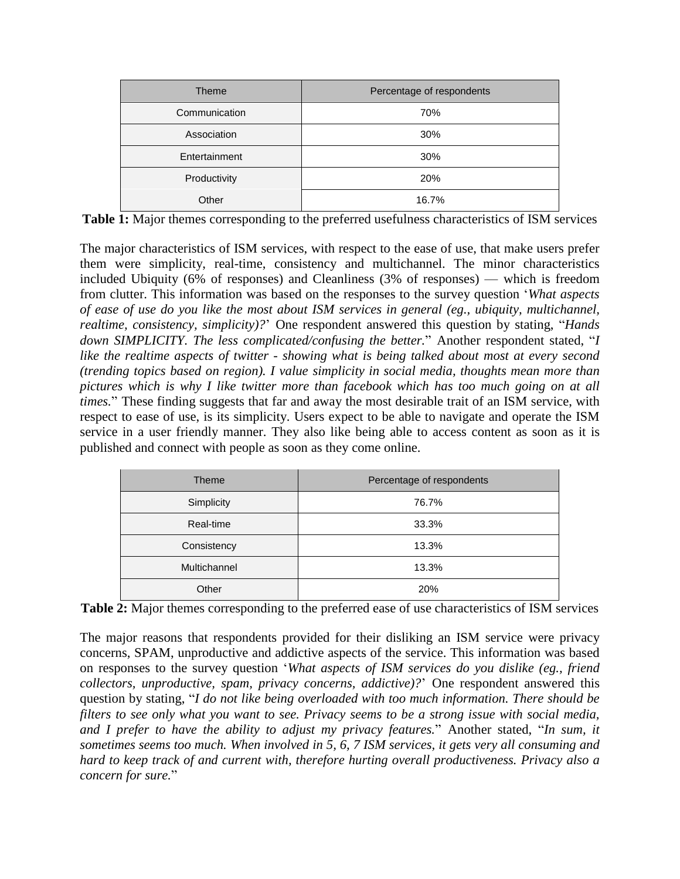| <b>Theme</b>  | Percentage of respondents |  |  |
|---------------|---------------------------|--|--|
| Communication | 70%                       |  |  |
| Association   | 30%                       |  |  |
| Entertainment | 30%                       |  |  |
| Productivity  | 20%                       |  |  |
| Other         | 16.7%                     |  |  |

**Table 1:** Major themes corresponding to the preferred usefulness characteristics of ISM services

The major characteristics of ISM services, with respect to the ease of use, that make users prefer them were simplicity, real-time, consistency and multichannel. The minor characteristics included Ubiquity (6% of responses) and Cleanliness (3% of responses) — which is freedom from clutter. This information was based on the responses to the survey question '*What aspects of ease of use do you like the most about ISM services in general (eg., ubiquity, multichannel, realtime, consistency, simplicity)?*' One respondent answered this question by stating, "*Hands down SIMPLICITY. The less complicated/confusing the better.*" Another respondent stated, "*I like the realtime aspects of twitter - showing what is being talked about most at every second (trending topics based on region). I value simplicity in social media, thoughts mean more than pictures which is why I like twitter more than facebook which has too much going on at all times.*" These finding suggests that far and away the most desirable trait of an ISM service, with respect to ease of use, is its simplicity. Users expect to be able to navigate and operate the ISM service in a user friendly manner. They also like being able to access content as soon as it is published and connect with people as soon as they come online.

| <b>Theme</b> | Percentage of respondents |  |  |  |
|--------------|---------------------------|--|--|--|
| Simplicity   | 76.7%                     |  |  |  |
| Real-time    | 33.3%                     |  |  |  |
| Consistency  | 13.3%                     |  |  |  |
| Multichannel | 13.3%                     |  |  |  |
| Other        | 20%                       |  |  |  |

**Table 2:** Major themes corresponding to the preferred ease of use characteristics of ISM services

The major reasons that respondents provided for their disliking an ISM service were privacy concerns, SPAM, unproductive and addictive aspects of the service. This information was based on responses to the survey question '*What aspects of ISM services do you dislike (eg., friend collectors, unproductive, spam, privacy concerns, addictive)?*' One respondent answered this question by stating, "*I do not like being overloaded with too much information. There should be* filters to see only what you want to see. Privacy seems to be a strong issue with social media, *and I prefer to have the ability to adjust my privacy features.*" Another stated, "*In sum, it sometimes seems too much. When involved in 5, 6, 7 ISM services, it gets very all consuming and hard to keep track of and current with, therefore hurting overall productiveness. Privacy also a concern for sure.*"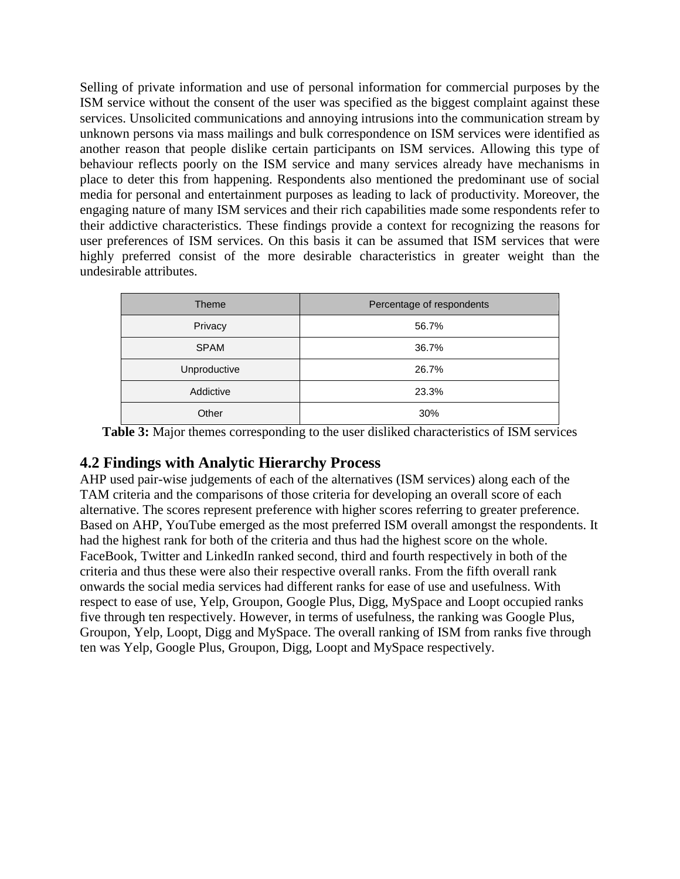Selling of private information and use of personal information for commercial purposes by the ISM service without the consent of the user was specified as the biggest complaint against these services. Unsolicited communications and annoying intrusions into the communication stream by unknown persons via mass mailings and bulk correspondence on ISM services were identified as another reason that people dislike certain participants on ISM services. Allowing this type of behaviour reflects poorly on the ISM service and many services already have mechanisms in place to deter this from happening. Respondents also mentioned the predominant use of social media for personal and entertainment purposes as leading to lack of productivity. Moreover, the engaging nature of many ISM services and their rich capabilities made some respondents refer to their addictive characteristics. These findings provide a context for recognizing the reasons for user preferences of ISM services. On this basis it can be assumed that ISM services that were highly preferred consist of the more desirable characteristics in greater weight than the undesirable attributes.

| Theme        | Percentage of respondents |
|--------------|---------------------------|
| Privacy      | 56.7%                     |
| <b>SPAM</b>  | 36.7%                     |
| Unproductive | 26.7%                     |
| Addictive    | 23.3%                     |
| Other        | 30%                       |

**Table 3:** Major themes corresponding to the user disliked characteristics of ISM services

#### **4.2 Findings with Analytic Hierarchy Process**

AHP used pair-wise judgements of each of the alternatives (ISM services) along each of the TAM criteria and the comparisons of those criteria for developing an overall score of each alternative. The scores represent preference with higher scores referring to greater preference. Based on AHP, YouTube emerged as the most preferred ISM overall amongst the respondents. It had the highest rank for both of the criteria and thus had the highest score on the whole. FaceBook, Twitter and LinkedIn ranked second, third and fourth respectively in both of the criteria and thus these were also their respective overall ranks. From the fifth overall rank onwards the social media services had different ranks for ease of use and usefulness. With respect to ease of use, Yelp, Groupon, Google Plus, Digg, MySpace and Loopt occupied ranks five through ten respectively. However, in terms of usefulness, the ranking was Google Plus, Groupon, Yelp, Loopt, Digg and MySpace. The overall ranking of ISM from ranks five through ten was Yelp, Google Plus, Groupon, Digg, Loopt and MySpace respectively.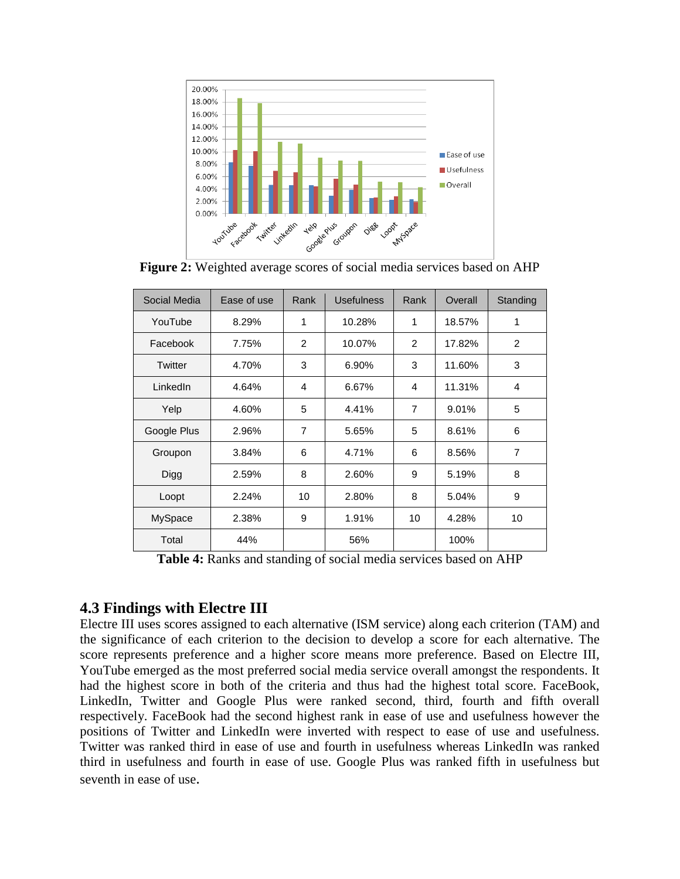

**Figure 2:** Weighted average scores of social media services based on AHP

| Social Media | Ease of use | Rank           | <b>Usefulness</b> | Rank           | Overall | Standing       |
|--------------|-------------|----------------|-------------------|----------------|---------|----------------|
| YouTube      | 8.29%       | 1              | 10.28%            | 1              | 18.57%  | 1              |
| Facebook     | 7.75%       | $\mathcal{P}$  | 10.07%            | 2              | 17.82%  | 2              |
| Twitter      | 4.70%       | 3              | 6.90%             | 3              | 11.60%  | 3              |
| LinkedIn     | 4.64%       | 4              | 6.67%             | 4              | 11.31%  | 4              |
| Yelp         | 4.60%       | 5              | 4.41%             | $\overline{7}$ | 9.01%   | 5              |
| Google Plus  | 2.96%       | $\overline{7}$ | 5.65%             | 5              | 8.61%   | 6              |
| Groupon      | 3.84%       | 6              | 4.71%             | 6              | 8.56%   | $\overline{7}$ |
| <b>Digg</b>  | 2.59%       | 8              | 2.60%             | 9              | 5.19%   | 8              |
| Loopt        | 2.24%       | 10             | 2.80%             | 8              | 5.04%   | 9              |
| MySpace      | 2.38%       | 9              | 1.91%             | 10             | 4.28%   | 10             |
| Total        | 44%         |                | 56%               |                | 100%    |                |

**Table 4:** Ranks and standing of social media services based on AHP

#### **4.3 Findings with Electre III**

Electre III uses scores assigned to each alternative (ISM service) along each criterion (TAM) and the significance of each criterion to the decision to develop a score for each alternative. The score represents preference and a higher score means more preference. Based on Electre III, YouTube emerged as the most preferred social media service overall amongst the respondents. It had the highest score in both of the criteria and thus had the highest total score. FaceBook, LinkedIn, Twitter and Google Plus were ranked second, third, fourth and fifth overall respectively. FaceBook had the second highest rank in ease of use and usefulness however the positions of Twitter and LinkedIn were inverted with respect to ease of use and usefulness. Twitter was ranked third in ease of use and fourth in usefulness whereas LinkedIn was ranked third in usefulness and fourth in ease of use. Google Plus was ranked fifth in usefulness but seventh in ease of use.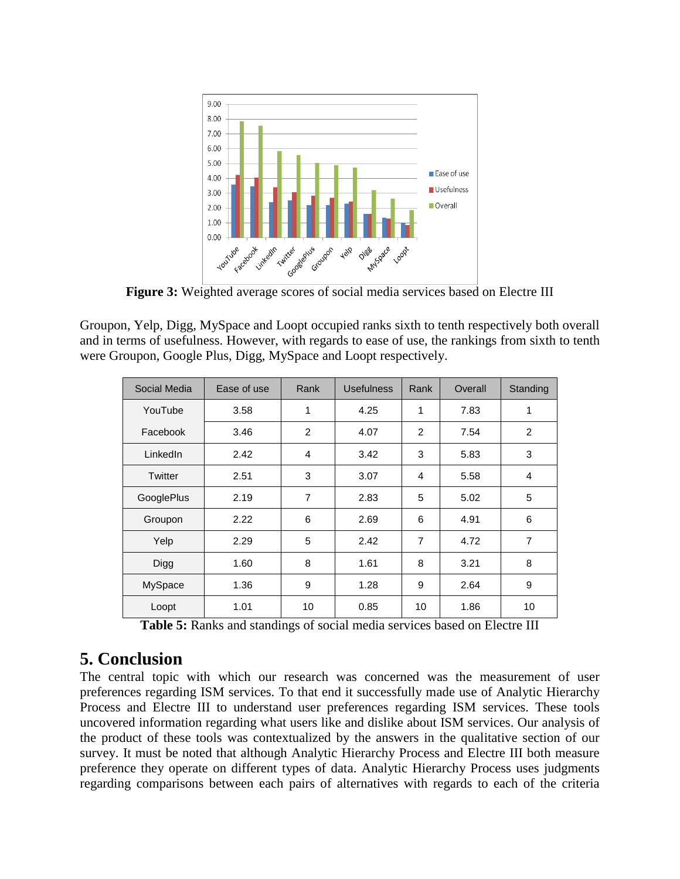

**Figure 3:** Weighted average scores of social media services based on Electre III

Groupon, Yelp, Digg, MySpace and Loopt occupied ranks sixth to tenth respectively both overall and in terms of usefulness. However, with regards to ease of use, the rankings from sixth to tenth were Groupon, Google Plus, Digg, MySpace and Loopt respectively.

| Social Media | Ease of use | Rank           | <b>Usefulness</b> | Rank           | Overall | Standing |
|--------------|-------------|----------------|-------------------|----------------|---------|----------|
| YouTube      | 3.58        | 1              | 4.25              | 1              | 7.83    | 1        |
| Facebook     | 3.46        | $\overline{2}$ | 4.07              | $\overline{c}$ | 7.54    | 2        |
| LinkedIn     | 2.42        | 4              | 3.42              | 3              | 5.83    | 3        |
| Twitter      | 2.51        | 3              | 3.07              | 4              | 5.58    | 4        |
| GooglePlus   | 2.19        | $\overline{7}$ | 2.83              | 5              | 5.02    | 5        |
| Groupon      | 2.22        | 6              | 2.69              | 6              | 4.91    | 6        |
| Yelp         | 2.29        | 5              | 2.42              | $\overline{7}$ | 4.72    | 7        |
| Digg         | 1.60        | 8              | 1.61              | 8              | 3.21    | 8        |
| MySpace      | 1.36        | 9              | 1.28              | 9              | 2.64    | 9        |
| Loopt        | 1.01        | 10             | 0.85              | 10             | 1.86    | 10       |

**Table 5:** Ranks and standings of social media services based on Electre III

#### **5. Conclusion**

The central topic with which our research was concerned was the measurement of user preferences regarding ISM services. To that end it successfully made use of Analytic Hierarchy Process and Electre III to understand user preferences regarding ISM services. These tools uncovered information regarding what users like and dislike about ISM services. Our analysis of the product of these tools was contextualized by the answers in the qualitative section of our survey. It must be noted that although Analytic Hierarchy Process and Electre III both measure preference they operate on different types of data. Analytic Hierarchy Process uses judgments regarding comparisons between each pairs of alternatives with regards to each of the criteria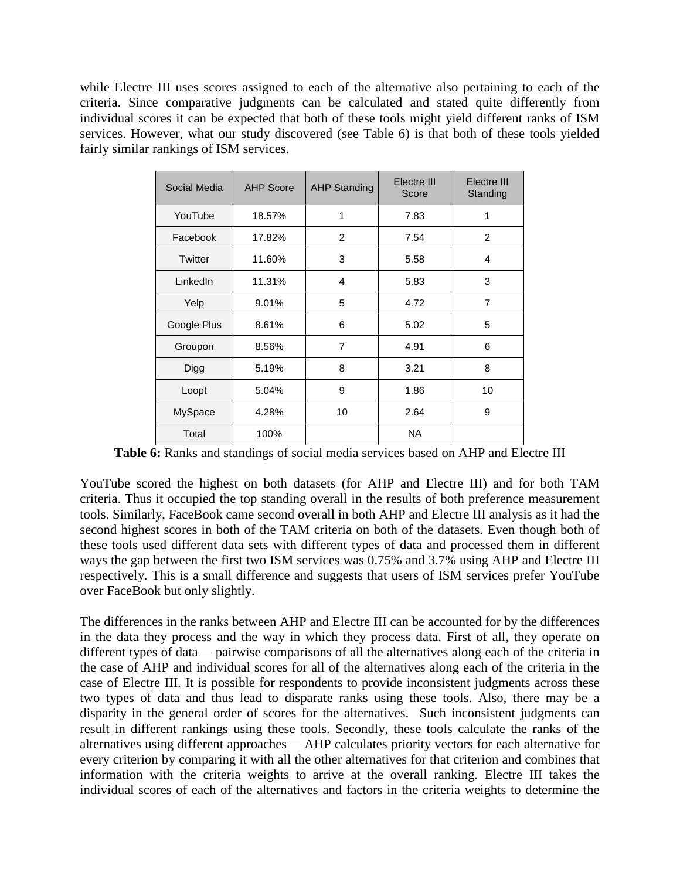while Electre III uses scores assigned to each of the alternative also pertaining to each of the criteria. Since comparative judgments can be calculated and stated quite differently from individual scores it can be expected that both of these tools might yield different ranks of ISM services. However, what our study discovered (see Table 6) is that both of these tools yielded fairly similar rankings of ISM services.

| Social Media   | <b>AHP Score</b> | <b>AHP Standing</b> | Electre III<br>Score | Electre III<br>Standing |
|----------------|------------------|---------------------|----------------------|-------------------------|
| YouTube        | 18.57%           | 1                   | 7.83                 | 1                       |
| Facebook       | 17.82%           | 2                   | 7.54                 | 2                       |
| <b>Twitter</b> | 11.60%           | 3                   | 5.58                 | 4                       |
| LinkedIn       | 11.31%           | 4                   | 5.83                 | 3                       |
| Yelp           | 9.01%            | 5                   | 4.72                 | $\overline{7}$          |
| Google Plus    | 8.61%            | 6                   | 5.02                 | 5                       |
| Groupon        | 8.56%            | $\overline{7}$      | 4.91                 | 6                       |
| Digg           | 5.19%            | 8                   | 3.21                 | 8                       |
| Loopt          | 5.04%            | 9                   | 1.86                 | 10                      |
| MySpace        | 4.28%            | 10                  | 2.64                 | 9                       |
| Total          | 100%             |                     | <b>NA</b>            |                         |

**Table 6:** Ranks and standings of social media services based on AHP and Electre III

YouTube scored the highest on both datasets (for AHP and Electre III) and for both TAM criteria. Thus it occupied the top standing overall in the results of both preference measurement tools. Similarly, FaceBook came second overall in both AHP and Electre III analysis as it had the second highest scores in both of the TAM criteria on both of the datasets. Even though both of these tools used different data sets with different types of data and processed them in different ways the gap between the first two ISM services was 0.75% and 3.7% using AHP and Electre III respectively. This is a small difference and suggests that users of ISM services prefer YouTube over FaceBook but only slightly.

The differences in the ranks between AHP and Electre III can be accounted for by the differences in the data they process and the way in which they process data. First of all, they operate on different types of data— pairwise comparisons of all the alternatives along each of the criteria in the case of AHP and individual scores for all of the alternatives along each of the criteria in the case of Electre III. It is possible for respondents to provide inconsistent judgments across these two types of data and thus lead to disparate ranks using these tools. Also, there may be a disparity in the general order of scores for the alternatives. Such inconsistent judgments can result in different rankings using these tools. Secondly, these tools calculate the ranks of the alternatives using different approaches— AHP calculates priority vectors for each alternative for every criterion by comparing it with all the other alternatives for that criterion and combines that information with the criteria weights to arrive at the overall ranking. Electre III takes the individual scores of each of the alternatives and factors in the criteria weights to determine the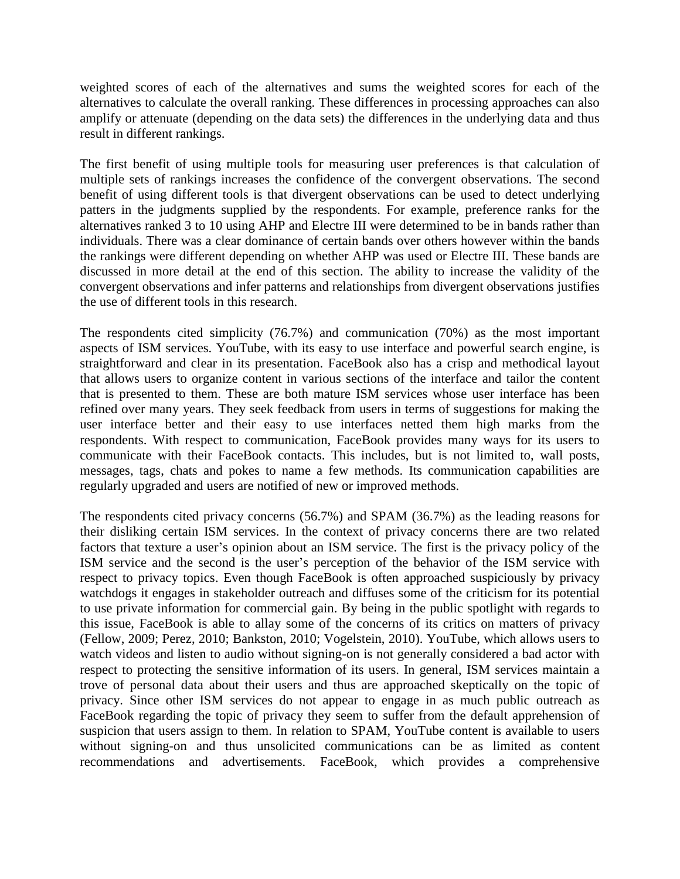weighted scores of each of the alternatives and sums the weighted scores for each of the alternatives to calculate the overall ranking. These differences in processing approaches can also amplify or attenuate (depending on the data sets) the differences in the underlying data and thus result in different rankings.

The first benefit of using multiple tools for measuring user preferences is that calculation of multiple sets of rankings increases the confidence of the convergent observations. The second benefit of using different tools is that divergent observations can be used to detect underlying patters in the judgments supplied by the respondents. For example, preference ranks for the alternatives ranked 3 to 10 using AHP and Electre III were determined to be in bands rather than individuals. There was a clear dominance of certain bands over others however within the bands the rankings were different depending on whether AHP was used or Electre III. These bands are discussed in more detail at the end of this section. The ability to increase the validity of the convergent observations and infer patterns and relationships from divergent observations justifies the use of different tools in this research.

The respondents cited simplicity (76.7%) and communication (70%) as the most important aspects of ISM services. YouTube, with its easy to use interface and powerful search engine, is straightforward and clear in its presentation. FaceBook also has a crisp and methodical layout that allows users to organize content in various sections of the interface and tailor the content that is presented to them. These are both mature ISM services whose user interface has been refined over many years. They seek feedback from users in terms of suggestions for making the user interface better and their easy to use interfaces netted them high marks from the respondents. With respect to communication, FaceBook provides many ways for its users to communicate with their FaceBook contacts. This includes, but is not limited to, wall posts, messages, tags, chats and pokes to name a few methods. Its communication capabilities are regularly upgraded and users are notified of new or improved methods.

The respondents cited privacy concerns (56.7%) and SPAM (36.7%) as the leading reasons for their disliking certain ISM services. In the context of privacy concerns there are two related factors that texture a user's opinion about an ISM service. The first is the privacy policy of the ISM service and the second is the user's perception of the behavior of the ISM service with respect to privacy topics. Even though FaceBook is often approached suspiciously by privacy watchdogs it engages in stakeholder outreach and diffuses some of the criticism for its potential to use private information for commercial gain. By being in the public spotlight with regards to this issue, FaceBook is able to allay some of the concerns of its critics on matters of privacy (Fellow, 2009; Perez, 2010; Bankston, 2010; Vogelstein, 2010). YouTube, which allows users to watch videos and listen to audio without signing-on is not generally considered a bad actor with respect to protecting the sensitive information of its users. In general, ISM services maintain a trove of personal data about their users and thus are approached skeptically on the topic of privacy. Since other ISM services do not appear to engage in as much public outreach as FaceBook regarding the topic of privacy they seem to suffer from the default apprehension of suspicion that users assign to them. In relation to SPAM, YouTube content is available to users without signing-on and thus unsolicited communications can be as limited as content recommendations and advertisements. FaceBook, which provides a comprehensive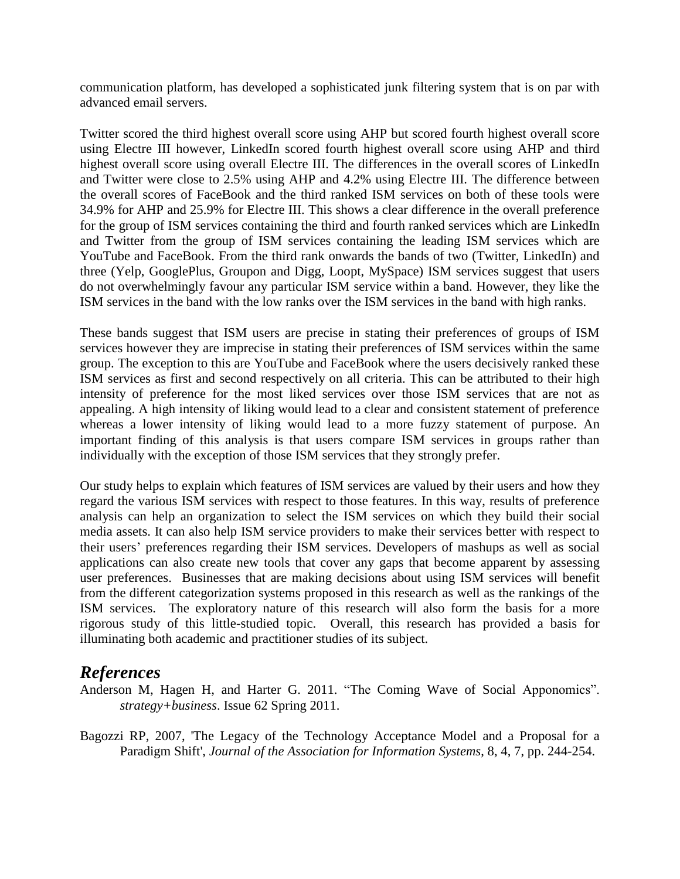communication platform, has developed a sophisticated junk filtering system that is on par with advanced email servers.

Twitter scored the third highest overall score using AHP but scored fourth highest overall score using Electre III however, LinkedIn scored fourth highest overall score using AHP and third highest overall score using overall Electre III. The differences in the overall scores of LinkedIn and Twitter were close to 2.5% using AHP and 4.2% using Electre III. The difference between the overall scores of FaceBook and the third ranked ISM services on both of these tools were 34.9% for AHP and 25.9% for Electre III. This shows a clear difference in the overall preference for the group of ISM services containing the third and fourth ranked services which are LinkedIn and Twitter from the group of ISM services containing the leading ISM services which are YouTube and FaceBook. From the third rank onwards the bands of two (Twitter, LinkedIn) and three (Yelp, GooglePlus, Groupon and Digg, Loopt, MySpace) ISM services suggest that users do not overwhelmingly favour any particular ISM service within a band. However, they like the ISM services in the band with the low ranks over the ISM services in the band with high ranks.

These bands suggest that ISM users are precise in stating their preferences of groups of ISM services however they are imprecise in stating their preferences of ISM services within the same group. The exception to this are YouTube and FaceBook where the users decisively ranked these ISM services as first and second respectively on all criteria. This can be attributed to their high intensity of preference for the most liked services over those ISM services that are not as appealing. A high intensity of liking would lead to a clear and consistent statement of preference whereas a lower intensity of liking would lead to a more fuzzy statement of purpose. An important finding of this analysis is that users compare ISM services in groups rather than individually with the exception of those ISM services that they strongly prefer.

Our study helps to explain which features of ISM services are valued by their users and how they regard the various ISM services with respect to those features. In this way, results of preference analysis can help an organization to select the ISM services on which they build their social media assets. It can also help ISM service providers to make their services better with respect to their users' preferences regarding their ISM services. Developers of mashups as well as social applications can also create new tools that cover any gaps that become apparent by assessing user preferences. Businesses that are making decisions about using ISM services will benefit from the different categorization systems proposed in this research as well as the rankings of the ISM services. The exploratory nature of this research will also form the basis for a more rigorous study of this little-studied topic. Overall, this research has provided a basis for illuminating both academic and practitioner studies of its subject.

#### *References*

Anderson M, Hagen H, and Harter G. 2011. "The Coming Wave of Social Apponomics". *strategy+business*. Issue 62 Spring 2011.

Bagozzi RP, 2007, 'The Legacy of the Technology Acceptance Model and a Proposal for a Paradigm Shift', *Journal of the Association for Information Systems*, 8, 4, 7, pp. 244-254.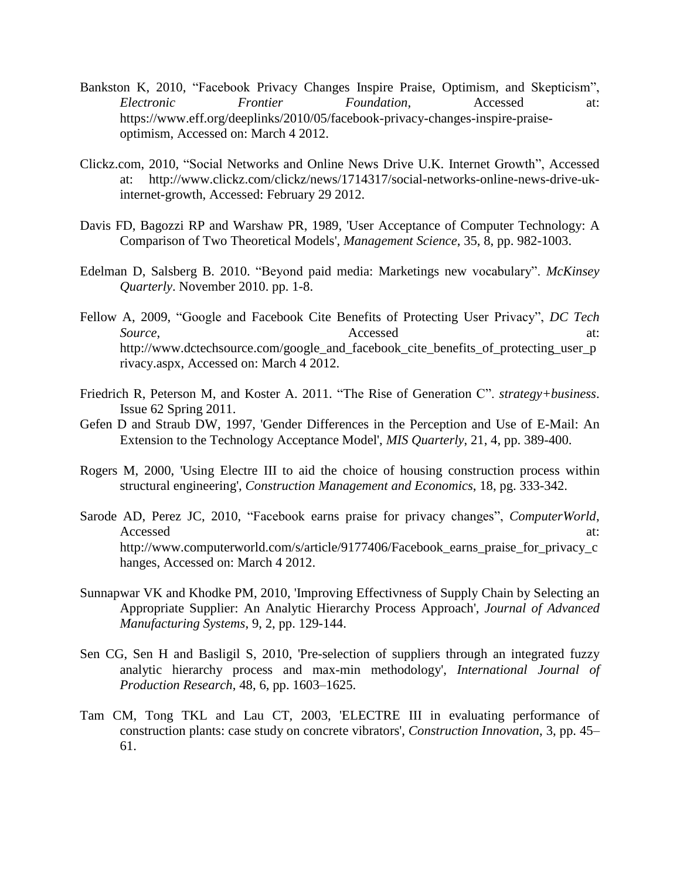- Bankston K, 2010, "Facebook Privacy Changes Inspire Praise, Optimism, and Skepticism", *Electronic Frontier Foundation*, Accessed at: https://www.eff.org/deeplinks/2010/05/facebook-privacy-changes-inspire-praiseoptimism, Accessed on: March 4 2012.
- Clickz.com, 2010, "Social Networks and Online News Drive U.K. Internet Growth", Accessed at: http://www.clickz.com/clickz/news/1714317/social-networks-online-news-drive-ukinternet-growth, Accessed: February 29 2012.
- Davis FD, Bagozzi RP and Warshaw PR, 1989, 'User Acceptance of Computer Technology: A Comparison of Two Theoretical Models', *Management Science*, 35, 8, pp. 982-1003.
- Edelman D, Salsberg B. 2010. "Beyond paid media: Marketings new vocabulary". *McKinsey Quarterly*. November 2010. pp. 1-8.
- Fellow A, 2009, "Google and Facebook Cite Benefits of Protecting User Privacy", *DC Tech* Source, and **Accessed** at: http://www.dctechsource.com/google\_and\_facebook\_cite\_benefits\_of\_protecting\_user\_p rivacy.aspx, Accessed on: March 4 2012.
- Friedrich R, Peterson M, and Koster A. 2011. "The Rise of Generation C". *strategy+business*. Issue 62 Spring 2011.
- Gefen D and Straub DW, 1997, 'Gender Differences in the Perception and Use of E-Mail: An Extension to the Technology Acceptance Model', *MIS Quarterly*, 21, 4, pp. 389-400.
- Rogers M, 2000, 'Using Electre III to aid the choice of housing construction process within structural engineering', *Construction Management and Economics*, 18, pg. 333-342.
- Sarode AD, Perez JC, 2010, "Facebook earns praise for privacy changes", *ComputerWorld*, Accessed at: http://www.computerworld.com/s/article/9177406/Facebook\_earns\_praise\_for\_privacy\_c hanges, Accessed on: March 4 2012.
- Sunnapwar VK and Khodke PM, 2010, 'Improving Effectivness of Supply Chain by Selecting an Appropriate Supplier: An Analytic Hierarchy Process Approach', *Journal of Advanced Manufacturing Systems*, 9, 2, pp. 129-144.
- Sen CG, Sen H and Basligil S, 2010, 'Pre-selection of suppliers through an integrated fuzzy analytic hierarchy process and max-min methodology', *International Journal of Production Research*, 48, 6, pp. 1603–1625.
- Tam CM, Tong TKL and Lau CT, 2003, 'ELECTRE III in evaluating performance of construction plants: case study on concrete vibrators', *Construction Innovation*, 3, pp. 45– 61.